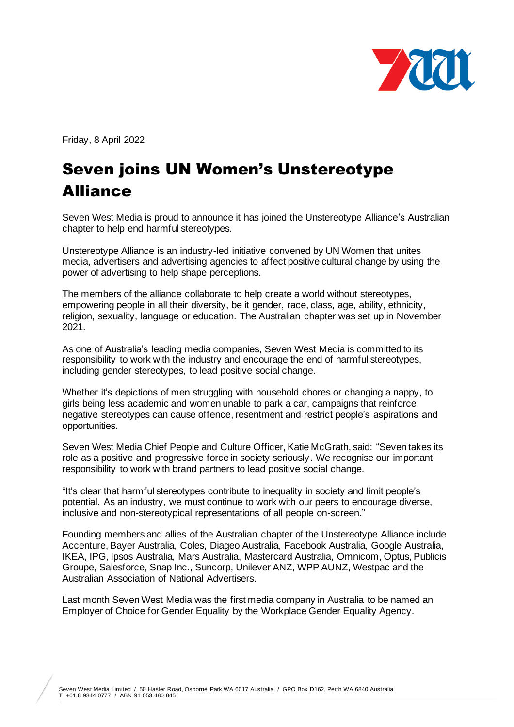

Friday, 8 April 2022

## Seven joins UN Women's Unstereotype Alliance

Seven West Media is proud to announce it has joined the Unstereotype Alliance's Australian chapter to help end harmful stereotypes.

Unstereotype Alliance is an industry-led initiative convened by UN Women that unites media, advertisers and advertising agencies to affect positive cultural change by using the power of advertising to help shape perceptions.

The members of the alliance collaborate to help create a world without stereotypes, empowering people in all their diversity, be it gender, race, class, age, ability, ethnicity, religion, sexuality, language or education. The Australian chapter was set up in November 2021.

As one of Australia's leading media companies, Seven West Media is committed to its responsibility to work with the industry and encourage the end of harmful stereotypes, including gender stereotypes, to lead positive social change.

Whether it's depictions of men struggling with household chores or changing a nappy, to girls being less academic and women unable to park a car, campaigns that reinforce negative stereotypes can cause offence, resentment and restrict people's aspirations and opportunities.

Seven West Media Chief People and Culture Officer, Katie McGrath, said: "Seven takes its role as a positive and progressive force in society seriously. We recognise our important responsibility to work with brand partners to lead positive social change.

"It's clear that harmful stereotypes contribute to inequality in society and limit people's potential. As an industry, we must continue to work with our peers to encourage diverse, inclusive and non-stereotypical representations of all people on-screen."

Founding members and allies of the Australian chapter of the Unstereotype Alliance include Accenture, Bayer Australia, Coles, Diageo Australia, Facebook Australia, Google Australia, IKEA, IPG, Ipsos Australia, Mars Australia, Mastercard Australia, Omnicom, Optus, Publicis Groupe, Salesforce, Snap Inc., Suncorp, Unilever ANZ, WPP AUNZ, Westpac and the Australian Association of National Advertisers.

Last month Seven West Media was the first media company in Australia to be named an Employer of Choice for Gender Equality by the Workplace Gender Equality Agency.